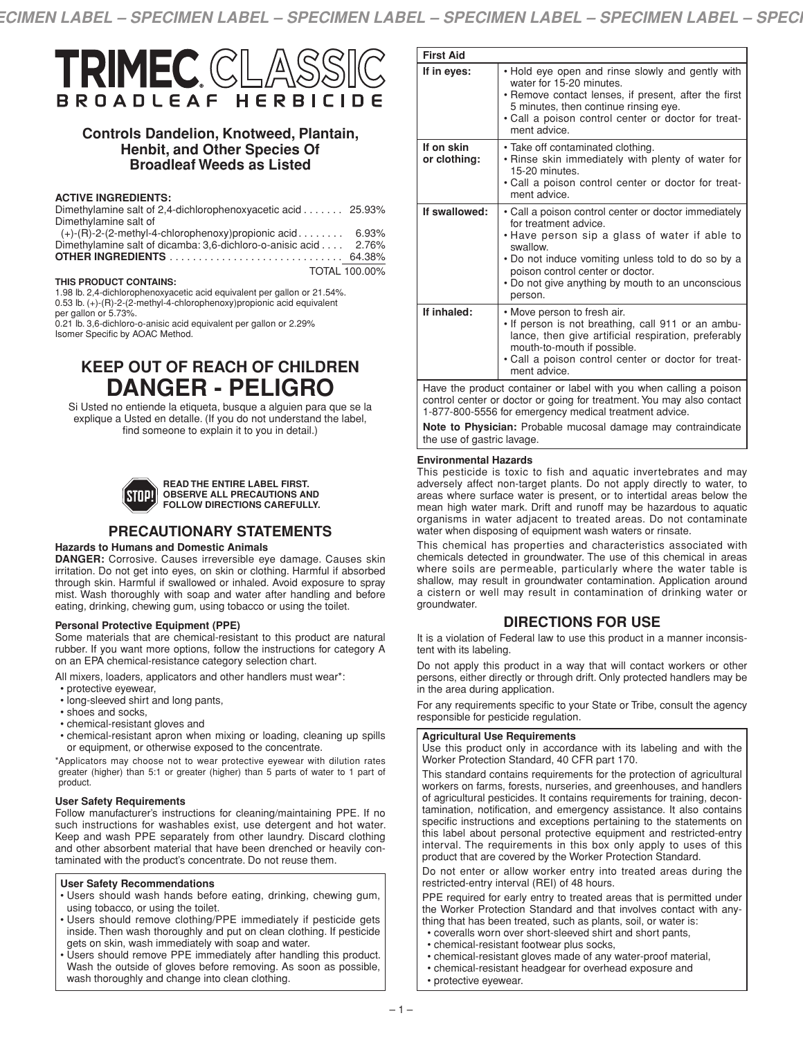

# **Controls Dandelion, Knotweed, Plantain, Henbit, and Other Species Of Broadleaf Weeds as Listed**

#### **ACTIVE INGREDIENTS:**

| Dimethylamine salt of 2,4-dichlorophenoxyacetic acid 25.93%     |                      |
|-----------------------------------------------------------------|----------------------|
| Dimethylamine salt of                                           |                      |
| $(+)$ -(R)-2-(2-methyl-4-chlorophenoxy)propionic acid 6.93%     |                      |
| Dimethylamine salt of dicamba: 3.6-dichloro-o-anisic acid 2.76% |                      |
|                                                                 |                      |
|                                                                 | <b>TOTAL 100.00%</b> |

#### **THIS PRODUCT CONTAINS:**

1.98 lb. 2,4-dichlorophenoxyacetic acid equivalent per gallon or 21.54%. 0.53 lb. (+)-(R)-2-(2-methyl-4-chlorophenoxy)propionic acid equivalent per gallon or 5.73%. 0.21 lb. 3,6-dichloro-o-anisic acid equivalent per gallon or 2.29%

Isomer Specific by AOAC Method.

# **KEEP OUT OF REACH OF CHILDREN DANGER - PELIGRO**

Si Usted no entiende la etiqueta, busque a alguien para que se la explique a Usted en detalle. (If you do not understand the label, find someone to explain it to you in detail.)



#### **READ THE ENTIRE LABEL FIRST. OBSERVE ALL PRECAUTIONS AND FOLLOW DIRECTIONS CAREFULLY.**

# **PRECAUTIONARY STATEMENTS**

#### **Hazards to Humans and Domestic Animals**

**DANGER:** Corrosive. Causes irreversible eye damage. Causes skin irritation. Do not get into eyes, on skin or clothing. Harmful if absorbed through skin. Harmful if swallowed or inhaled. Avoid exposure to spray mist. Wash thoroughly with soap and water after handling and before eating, drinking, chewing gum, using tobacco or using the toilet.

#### **Personal Protective Equipment (PPE)**

Some materials that are chemical-resistant to this product are natural rubber. If you want more options, follow the instructions for category A on an EPA chemical-resistance category selection chart.

All mixers, loaders, applicators and other handlers must wear\*:

- protective eyewear,
- long-sleeved shirt and long pants,
- shoes and socks,
- chemical-resistant gloves and
- chemical-resistant apron when mixing or loading, cleaning up spills or equipment, or otherwise exposed to the concentrate.

\*Applicators may choose not to wear protective eyewear with dilution rates greater (higher) than 5:1 or greater (higher) than 5 parts of water to 1 part of product.

#### **User Safety Requirements**

Follow manufacturer's instructions for cleaning/maintaining PPE. If no such instructions for washables exist, use detergent and hot water. Keep and wash PPE separately from other laundry. Discard clothing and other absorbent material that have been drenched or heavily contaminated with the product's concentrate. Do not reuse them.

#### **User Safety Recommendations**

- Users should wash hands before eating, drinking, chewing gum, using tobacco, or using the toilet.
- Users should remove clothing/PPE immediately if pesticide gets inside. Then wash thoroughly and put on clean clothing. If pesticide gets on skin, wash immediately with soap and water.
- Users should remove PPE immediately after handling this product. Wash the outside of gloves before removing. As soon as possible, wash thoroughly and change into clean clothing.

| <b>First Aid</b>                                                   |                                                                                                                                                                                                                                                                                                      |
|--------------------------------------------------------------------|------------------------------------------------------------------------------------------------------------------------------------------------------------------------------------------------------------------------------------------------------------------------------------------------------|
| If in eyes:                                                        | . Hold eye open and rinse slowly and gently with<br>water for 15-20 minutes.<br>• Remove contact lenses, if present, after the first<br>5 minutes, then continue rinsing eye.<br>. Call a poison control center or doctor for treat-<br>ment advice.                                                 |
| If on skin<br>or clothing:                                         | • Take off contaminated clothing.<br>. Rinse skin immediately with plenty of water for<br>15-20 minutes.<br>. Call a poison control center or doctor for treat-<br>ment advice.                                                                                                                      |
| If swallowed:                                                      | • Call a poison control center or doctor immediately<br>for treatment advice.<br>• Have person sip a glass of water if able to<br>swallow.<br>• Do not induce vomiting unless told to do so by a<br>poison control center or doctor.<br>• Do not give anything by mouth to an unconscious<br>person. |
| If inhaled:                                                        | • Move person to fresh air.<br>. If person is not breathing, call 911 or an ambu-<br>lance, then give artificial respiration, preferably<br>mouth-to-mouth if possible.<br>. Call a poison control center or doctor for treat-<br>ment advice.                                                       |
| Have the product container or label with you when calling a poison |                                                                                                                                                                                                                                                                                                      |

control center or doctor or going for treatment. You may also contact 1-877-800-5556 for emergency medical treatment advice.

**Note to Physician:** Probable mucosal damage may contraindicate the use of gastric lavage.

#### **Environmental Hazards**

This pesticide is toxic to fish and aquatic invertebrates and may adversely affect non-target plants. Do not apply directly to water, to areas where surface water is present, or to intertidal areas below the mean high water mark. Drift and runoff may be hazardous to aquatic organisms in water adjacent to treated areas. Do not contaminate water when disposing of equipment wash waters or rinsate.

This chemical has properties and characteristics associated with chemicals detected in groundwater. The use of this chemical in areas where soils are permeable, particularly where the water table is shallow, may result in groundwater contamination. Application around a cistern or well may result in contamination of drinking water or groundwater.

# **DIRECTIONS FOR USE**

It is a violation of Federal law to use this product in a manner inconsistent with its labeling.

Do not apply this product in a way that will contact workers or other persons, either directly or through drift. Only protected handlers may be in the area during application.

For any requirements specific to your State or Tribe, consult the agency responsible for pesticide regulation.

#### **Agricultural Use Requirements**

Use this product only in accordance with its labeling and with the Worker Protection Standard, 40 CFR part 170.

This standard contains requirements for the protection of agricultural workers on farms, forests, nurseries, and greenhouses, and handlers of agricultural pesticides. It contains requirements for training, decontamination, notification, and emergency assistance. It also contains specific instructions and exceptions pertaining to the statements on this label about personal protective equipment and restricted-entry interval. The requirements in this box only apply to uses of this product that are covered by the Worker Protection Standard.

Do not enter or allow worker entry into treated areas during the restricted-entry interval (REI) of 48 hours.

PPE required for early entry to treated areas that is permitted under the Worker Protection Standard and that involves contact with anything that has been treated, such as plants, soil, or water is:

- coveralls worn over short-sleeved shirt and short pants,
- chemical-resistant footwear plus socks,
- chemical-resistant gloves made of any water-proof material,
- chemical-resistant headgear for overhead exposure and • protective eyewear.
-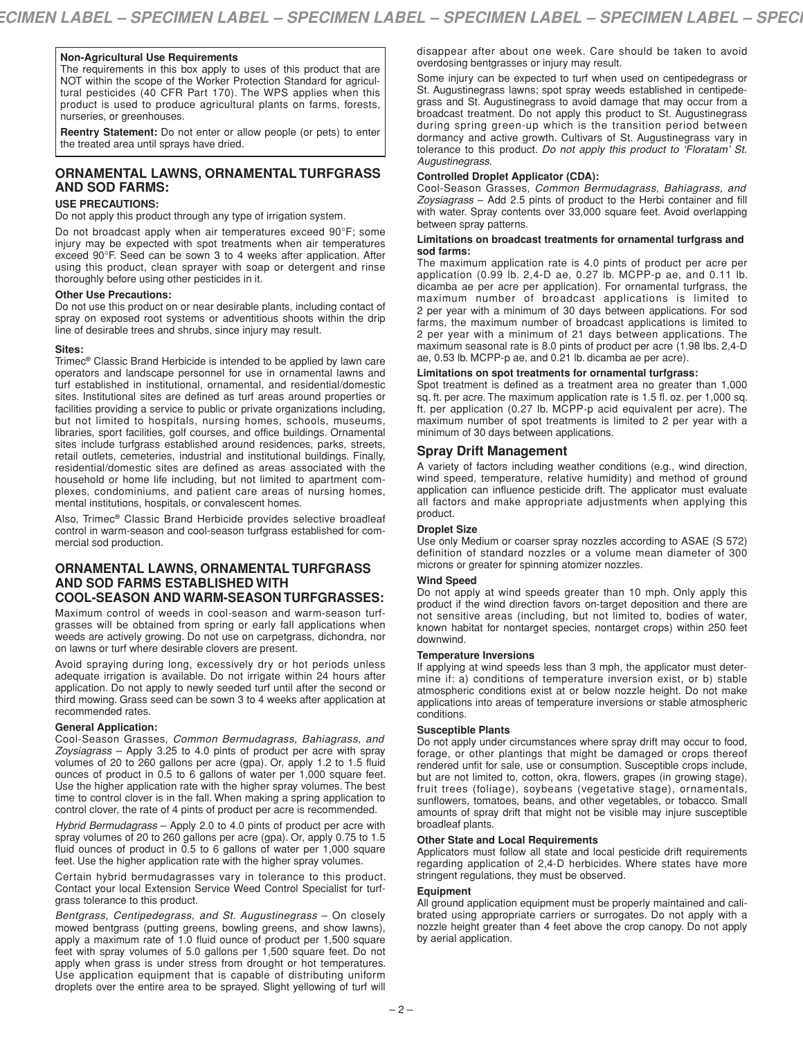### **Non-Agricultural Use Requirements**

The requirements in this box apply to uses of this product that are NOT within the scope of the Worker Protection Standard for agricultural pesticides (40 CFR Part 170). The WPS applies when this product is used to produce agricultural plants on farms, forests, nurseries, or greenhouses.

**Reentry Statement:** Do not enter or allow people (or pets) to enter the treated area until sprays have dried.

# **ORNAMENTAL LAWNS, ORNAMENTAL TURFGRASS AND SOD FARMS:**

#### **USE PRECAUTIONS:**

Do not apply this product through any type of irrigation system.

Do not broadcast apply when air temperatures exceed 90°F; some injury may be expected with spot treatments when air temperatures exceed 90°F. Seed can be sown 3 to 4 weeks after application. After using this product, clean sprayer with soap or detergent and rinse thoroughly before using other pesticides in it.

#### **Other Use Precautions:**

Do not use this product on or near desirable plants, including contact of spray on exposed root systems or adventitious shoots within the drip line of desirable trees and shrubs, since injury may result.

#### **Sites:**

Trimec**®** Classic Brand Herbicide is intended to be applied by lawn care operators and landscape personnel for use in ornamental lawns and turf established in institutional, ornamental, and residential/domestic sites. Institutional sites are defined as turf areas around properties or facilities providing a service to public or private organizations including, but not limited to hospitals, nursing homes, schools, museums, libraries, sport facilities, golf courses, and office buildings. Ornamental sites include turfgrass established around residences, parks, streets, retail outlets, cemeteries, industrial and institutional buildings. Finally, residential/domestic sites are defined as areas associated with the household or home life including, but not limited to apartment complexes, condominiums, and patient care areas of nursing homes, mental institutions, hospitals, or convalescent homes.

Also, Trimec**®** Classic Brand Herbicide provides selective broadleaf control in warm-season and cool-season turfgrass established for commercial sod production.

### **ORNAMENTAL LAWNS, ORNAMENTAL TURFGRASS AND SOD FARMS ESTABLISHED WITH COOL-SEASON AND WARM-SEASON TURFGRASSES:**

Maximum control of weeds in cool-season and warm-season turfgrasses will be obtained from spring or early fall applications when weeds are actively growing. Do not use on carpetgrass, dichondra, nor on lawns or turf where desirable clovers are present.

Avoid spraying during long, excessively dry or hot periods unless adequate irrigation is available. Do not irrigate within 24 hours after application. Do not apply to newly seeded turf until after the second or third mowing. Grass seed can be sown 3 to 4 weeks after application at recommended rates.

#### **General Application:**

Cool-Season Grasses, *Common Bermudagrass, Bahiagrass, and Zoysiagrass* – Apply 3.25 to 4.0 pints of product per acre with spray volumes of 20 to 260 gallons per acre (gpa). Or, apply 1.2 to 1.5 fluid ounces of product in 0.5 to 6 gallons of water per 1,000 square feet. Use the higher application rate with the higher spray volumes. The best time to control clover is in the fall. When making a spring application to control clover, the rate of 4 pints of product per acre is recommended.

*Hybrid Bermudagrass* – Apply 2.0 to 4.0 pints of product per acre with spray volumes of 20 to 260 gallons per acre (gpa). Or, apply 0.75 to 1.5 fluid ounces of product in 0.5 to 6 gallons of water per 1,000 square feet. Use the higher application rate with the higher spray volumes.

Certain hybrid bermudagrasses vary in tolerance to this product. Contact your local Extension Service Weed Control Specialist for turfgrass tolerance to this product.

*Bentgrass, Centipedegrass, and St. Augustinegrass* – On closely mowed bentgrass (putting greens, bowling greens, and show lawns), apply a maximum rate of 1.0 fluid ounce of product per 1,500 square feet with spray volumes of 5.0 gallons per 1,500 square feet. Do not apply when grass is under stress from drought or hot temperatures. Use application equipment that is capable of distributing uniform droplets over the entire area to be sprayed. Slight yellowing of turf will

disappear after about one week. Care should be taken to avoid overdosing bentgrasses or injury may result.

Some injury can be expected to turf when used on centipedegrass or St. Augustinegrass lawns; spot spray weeds established in centipedegrass and St. Augustinegrass to avoid damage that may occur from a broadcast treatment. Do not apply this product to St. Augustinegrass during spring green-up which is the transition period between dormancy and active growth. Cultivars of St. Augustinegrass vary in tolerance to this product. *Do not apply this product to 'Floratam' St. Augustinegrass.*

#### **Controlled Droplet Applicator (CDA):**

Cool-Season Grasses, *Common Bermudagrass, Bahiagrass, and Zoysiagrass* – Add 2.5 pints of product to the Herbi container and fill with water. Spray contents over 33,000 square feet. Avoid overlapping between spray patterns.

#### **Limitations on broadcast treatments for ornamental turfgrass and sod farms:**

The maximum application rate is 4.0 pints of product per acre per application (0.99 lb. 2,4-D ae, 0.27 lb. MCPP-p ae, and 0.11 lb. dicamba ae per acre per application). For ornamental turfgrass, the maximum number of broadcast applications is limited to 2 per year with a minimum of 30 days between applications. For sod farms, the maximum number of broadcast applications is limited to 2 per year with a minimum of 21 days between applications. The maximum seasonal rate is 8.0 pints of product per acre (1.98 lbs. 2,4-D ae, 0.53 lb. MCPP-p ae, and 0.21 lb. dicamba ae per acre).

#### **Limitations on spot treatments for ornamental turfgrass:**

Spot treatment is defined as a treatment area no greater than 1,000 sq. ft. per acre. The maximum application rate is 1.5 fl. oz. per 1,000 sq. ft. per application (0.27 lb. MCPP-p acid equivalent per acre). The maximum number of spot treatments is limited to 2 per year with a minimum of 30 days between applications.

## **Spray Drift Management**

A variety of factors including weather conditions (e.g., wind direction, wind speed, temperature, relative humidity) and method of ground application can influence pesticide drift. The applicator must evaluate all factors and make appropriate adjustments when applying this product.

#### **Droplet Size**

Use only Medium or coarser spray nozzles according to ASAE (S 572) definition of standard nozzles or a volume mean diameter of 300 microns or greater for spinning atomizer nozzles.

#### **Wind Speed**

Do not apply at wind speeds greater than 10 mph. Only apply this product if the wind direction favors on-target deposition and there are not sensitive areas (including, but not limited to, bodies of water, known habitat for nontarget species, nontarget crops) within 250 feet downwind.

### **Temperature Inversions**

If applying at wind speeds less than 3 mph, the applicator must determine if: a) conditions of temperature inversion exist, or b) stable atmospheric conditions exist at or below nozzle height. Do not make applications into areas of temperature inversions or stable atmospheric conditions.

#### **Susceptible Plants**

Do not apply under circumstances where spray drift may occur to food, forage, or other plantings that might be damaged or crops thereof rendered unfit for sale, use or consumption. Susceptible crops include, but are not limited to, cotton, okra, flowers, grapes (in growing stage), fruit trees (foliage), soybeans (vegetative stage), ornamentals, sunflowers, tomatoes, beans, and other vegetables, or tobacco. Small amounts of spray drift that might not be visible may injure susceptible broadleaf plants.

#### **Other State and Local Requirements**

Applicators must follow all state and local pesticide drift requirements regarding application of 2,4-D herbicides. Where states have more stringent regulations, they must be observed.

#### **Equipment**

All ground application equipment must be properly maintained and calibrated using appropriate carriers or surrogates. Do not apply with a nozzle height greater than 4 feet above the crop canopy. Do not apply by aerial application.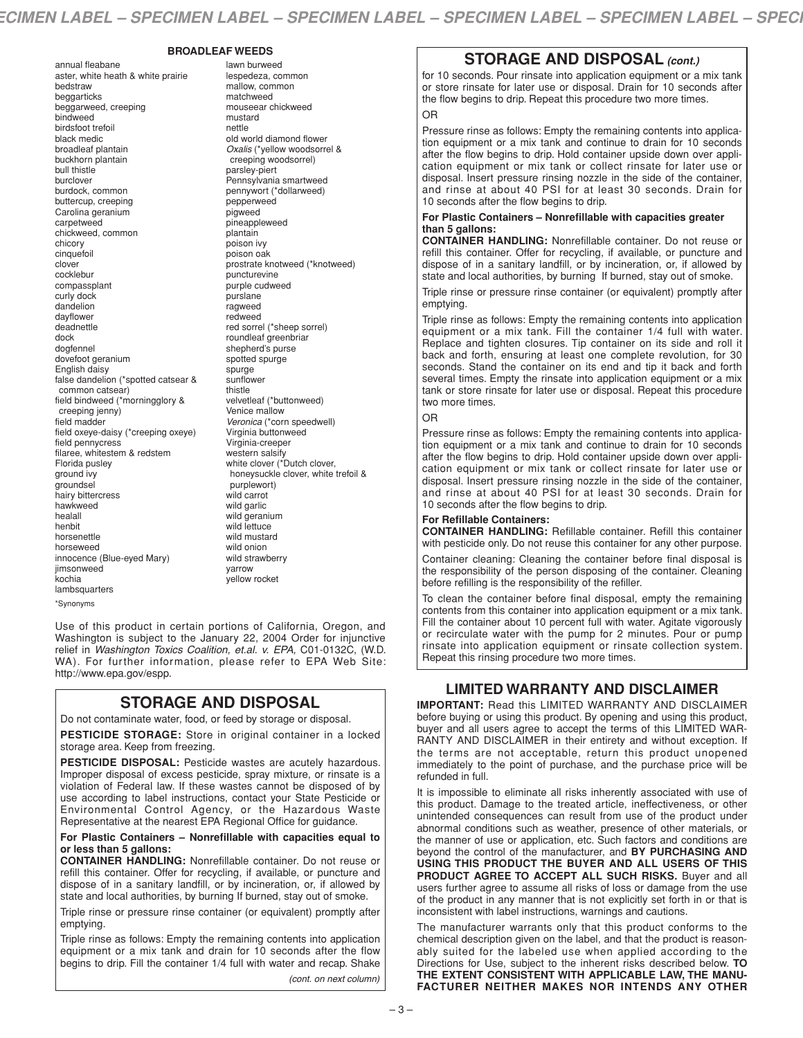#### **BROADLEAF WEEDS**

annual fleabane aster, white heath & white prairie bedstraw beggarticks beggarweed, creeping bindweed birdsfoot trefoil black medic broadleaf plantain buckhorn plantain bull thistle burclover burdock, common buttercup, creeping Carolina geranium carpetweed chickweed, common chicory cinquefoil clover cocklebur compassplant curly dock dandelion dayflower deadnettle dock dogfennel dovefoot geranium English daisy false dandelion (\*spotted catsear & common catsear) field bindweed (\*morningglory & creeping jenny) field madder field oxeye-daisy (\*creeping oxeye) field pennycress filaree, whitestem & redstem Florida pusley ground ivy groundsel hairy bittercress hawkweed healall henbit horsenettle horseweed innocence (Blue-eyed Mary) iimsonweed kochia lambsquarters \*Synonyms

lawn burweed lespedeza, common mallow, common matchweed mouseear chickweed mustard nettle old world diamond flower *Oxalis* (\*yellow woodsorrel & creeping woodsorrel) parsley-piert Pennsylvania smartweed pennywort (\*dollarweed) pepperweed pigweed pineappleweed plantain poison ivy poison oak prostrate knotweed (\*knotweed) puncturevine purple cudweed purslane ragweed redweed red sorrel (\*sheep sorrel) roundleaf greenbriar shepherd's purse spotted spurge spurge sunflower thistle velvetleaf (\*buttonweed) Venice mallow *Veronica* (\*corn speedwell) Virginia buttonweed Virginia-creeper western salsify white clover (\*Dutch clover, honeysuckle clover, white trefoil & purplewort) wild carrot wild garlic wild geranium wild lettuce wild mustard wild onion wild strawberry yarrow yellow rocket

Use of this product in certain portions of California, Oregon, and Washington is subject to the January 22, 2004 Order for injunctive relief in *Washington Toxics Coalition, et.al. v. EPA,* C01-0132C, (W.D. WA). For further information, please refer to EPA Web Site: http://www.epa.gov/espp.

# **STORAGE AND DISPOSAL**

Do not contaminate water, food, or feed by storage or disposal.

**PESTICIDE STORAGE:** Store in original container in a locked storage area. Keep from freezing.

**PESTICIDE DISPOSAL:** Pesticide wastes are acutely hazardous. Improper disposal of excess pesticide, spray mixture, or rinsate is a violation of Federal law. If these wastes cannot be disposed of by use according to label instructions, contact your State Pesticide or Environmental Control Agency, or the Hazardous Waste Representative at the nearest EPA Regional Office for guidance.

#### **For Plastic Containers – Nonrefillable with capacities equal to or less than 5 gallons:**

**CONTAINER HANDLING:** Nonrefillable container. Do not reuse or refill this container. Offer for recycling, if available, or puncture and dispose of in a sanitary landfill, or by incineration, or, if allowed by state and local authorities, by burning If burned, stay out of smoke.

Triple rinse or pressure rinse container (or equivalent) promptly after emptying.

Triple rinse as follows: Empty the remaining contents into application equipment or a mix tank and drain for 10 seconds after the flow begins to drip. Fill the container 1/4 full with water and recap. Shake *(cont. on next column)*

# **STORAGE AND DISPOSAL** *(cont.)*

for 10 seconds. Pour rinsate into application equipment or a mix tank or store rinsate for later use or disposal. Drain for 10 seconds after the flow begins to drip. Repeat this procedure two more times. OR

Pressure rinse as follows: Empty the remaining contents into application equipment or a mix tank and continue to drain for 10 seconds after the flow begins to drip. Hold container upside down over application equipment or mix tank or collect rinsate for later use or disposal. Insert pressure rinsing nozzle in the side of the container, and rinse at about 40 PSI for at least 30 seconds. Drain for 10 seconds after the flow begins to drip.

#### **For Plastic Containers – Nonrefillable with capacities greater than 5 gallons:**

**CONTAINER HANDLING:** Nonrefillable container. Do not reuse or refill this container. Offer for recycling, if available, or puncture and dispose of in a sanitary landfill, or by incineration, or, if allowed by state and local authorities, by burning If burned, stay out of smoke.

Triple rinse or pressure rinse container (or equivalent) promptly after emptying.

Triple rinse as follows: Empty the remaining contents into application equipment or a mix tank. Fill the container 1/4 full with water. Replace and tighten closures. Tip container on its side and roll it back and forth, ensuring at least one complete revolution, for 30 seconds. Stand the container on its end and tip it back and forth several times. Empty the rinsate into application equipment or a mix tank or store rinsate for later use or disposal. Repeat this procedure two more times.

# OR

Pressure rinse as follows: Empty the remaining contents into application equipment or a mix tank and continue to drain for 10 seconds after the flow begins to drip. Hold container upside down over application equipment or mix tank or collect rinsate for later use or disposal. Insert pressure rinsing nozzle in the side of the container, and rinse at about 40 PSI for at least 30 seconds. Drain for 10 seconds after the flow begins to drip.

### **For Refillable Containers:**

**CONTAINER HANDLING:** Refillable container. Refill this container with pesticide only. Do not reuse this container for any other purpose.

Container cleaning: Cleaning the container before final disposal is the responsibility of the person disposing of the container. Cleaning before refilling is the responsibility of the refiller.

To clean the container before final disposal, empty the remaining contents from this container into application equipment or a mix tank. Fill the container about 10 percent full with water. Agitate vigorously or recirculate water with the pump for 2 minutes. Pour or pump rinsate into application equipment or rinsate collection system. Repeat this rinsing procedure two more times.

# **LIMITED WARRANTY AND DISCLAIMER**

**IMPORTANT:** Read this LIMITED WARRANTY AND DISCLAIMER before buying or using this product. By opening and using this product, buyer and all users agree to accept the terms of this LIMITED WAR-RANTY AND DISCLAIMER in their entirety and without exception. If the terms are not acceptable, return this product unopened immediately to the point of purchase, and the purchase price will be refunded in full.

It is impossible to eliminate all risks inherently associated with use of this product. Damage to the treated article, ineffectiveness, or other unintended consequences can result from use of the product under abnormal conditions such as weather, presence of other materials, or the manner of use or application, etc. Such factors and conditions are beyond the control of the manufacturer, and **BY PURCHASING AND USING THIS PRODUCT THE BUYER AND ALL USERS OF THIS PRODUCT AGREE TO ACCEPT ALL SUCH RISKS.** Buyer and all users further agree to assume all risks of loss or damage from the use of the product in any manner that is not explicitly set forth in or that is inconsistent with label instructions, warnings and cautions.

The manufacturer warrants only that this product conforms to the chemical description given on the label, and that the product is reasonably suited for the labeled use when applied according to the Directions for Use, subject to the inherent risks described below. **TO THE EXTENT CONSISTENT WITH APPLICABLE LAW, THE MANU-FACTURER NEITHER MAKES NOR INTENDS ANY OTHER**